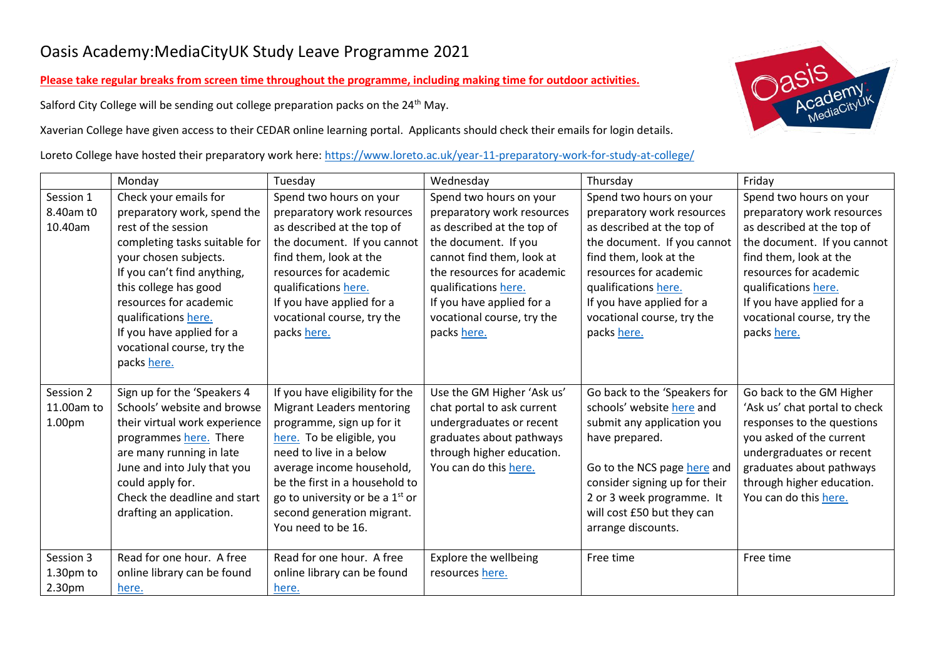## Oasis Academy:MediaCityUK Study Leave Programme 2021

**Please take regular breaks from screen time throughout the programme, including making time for outdoor activities.**

Salford City College will be sending out college preparation packs on the 24<sup>th</sup> May.

Xaverian College have given access to their CEDAR online learning portal. Applicants should check their emails for login details.

Loreto College have hosted their preparatory work here:<https://www.loreto.ac.uk/year-11-preparatory-work-for-study-at-college/>

|            | Monday                        | Tuesday                           | Wednesday                  | Thursday                      | Friday                        |
|------------|-------------------------------|-----------------------------------|----------------------------|-------------------------------|-------------------------------|
| Session 1  | Check your emails for         | Spend two hours on your           | Spend two hours on your    | Spend two hours on your       | Spend two hours on your       |
| 8.40am t0  | preparatory work, spend the   | preparatory work resources        | preparatory work resources | preparatory work resources    | preparatory work resources    |
| 10.40am    | rest of the session           | as described at the top of        | as described at the top of | as described at the top of    | as described at the top of    |
|            | completing tasks suitable for | the document. If you cannot       | the document. If you       | the document. If you cannot   | the document. If you cannot   |
|            | your chosen subjects.         | find them, look at the            | cannot find them, look at  | find them, look at the        | find them, look at the        |
|            | If you can't find anything,   | resources for academic            | the resources for academic | resources for academic        | resources for academic        |
|            | this college has good         | qualifications here.              | qualifications here.       | qualifications here.          | qualifications here.          |
|            | resources for academic        | If you have applied for a         | If you have applied for a  | If you have applied for a     | If you have applied for a     |
|            | qualifications here.          | vocational course, try the        | vocational course, try the | vocational course, try the    | vocational course, try the    |
|            | If you have applied for a     | packs here.                       | packs here.                | packs here.                   | packs here.                   |
|            | vocational course, try the    |                                   |                            |                               |                               |
|            | packs here.                   |                                   |                            |                               |                               |
| Session 2  | Sign up for the 'Speakers 4   | If you have eligibility for the   | Use the GM Higher 'Ask us' | Go back to the 'Speakers for  | Go back to the GM Higher      |
| 11.00am to | Schools' website and browse   | Migrant Leaders mentoring         | chat portal to ask current | schools' website here and     | 'Ask us' chat portal to check |
| 1.00pm     | their virtual work experience | programme, sign up for it         | undergraduates or recent   | submit any application you    | responses to the questions    |
|            | programmes here. There        | here. To be eligible, you         | graduates about pathways   | have prepared.                | you asked of the current      |
|            | are many running in late      | need to live in a below           | through higher education.  |                               | undergraduates or recent      |
|            | June and into July that you   | average income household,         | You can do this here.      | Go to the NCS page here and   | graduates about pathways      |
|            | could apply for.              | be the first in a household to    |                            | consider signing up for their | through higher education.     |
|            | Check the deadline and start  | go to university or be a $1st$ or |                            | 2 or 3 week programme. It     | You can do this here.         |
|            | drafting an application.      | second generation migrant.        |                            | will cost £50 but they can    |                               |
|            |                               | You need to be 16.                |                            | arrange discounts.            |                               |
|            |                               |                                   |                            |                               |                               |
| Session 3  | Read for one hour. A free     | Read for one hour. A free         | Explore the wellbeing      | Free time                     | Free time                     |
| 1.30pm to  | online library can be found   | online library can be found       | resources here.            |                               |                               |
| 2.30pm     | here.                         | here.                             |                            |                               |                               |

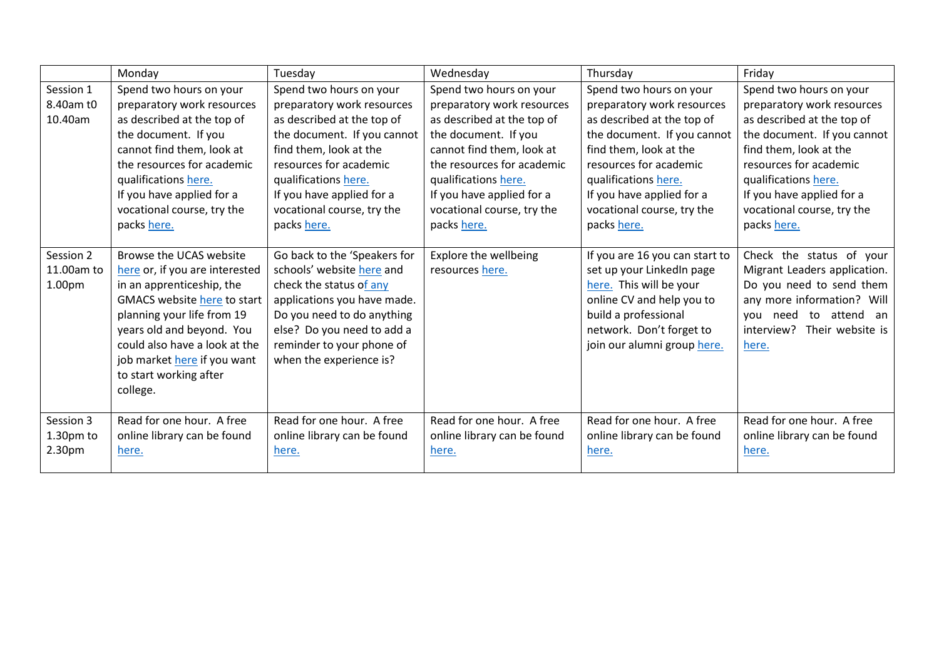|                    | Monday                             | Tuesday                      | Wednesday                   | Thursday                       | Friday                         |
|--------------------|------------------------------------|------------------------------|-----------------------------|--------------------------------|--------------------------------|
| Session 1          | Spend two hours on your            | Spend two hours on your      | Spend two hours on your     | Spend two hours on your        | Spend two hours on your        |
| 8.40am t0          | preparatory work resources         | preparatory work resources   | preparatory work resources  | preparatory work resources     | preparatory work resources     |
| 10.40am            | as described at the top of         | as described at the top of   | as described at the top of  | as described at the top of     | as described at the top of     |
|                    | the document. If you               | the document. If you cannot  | the document. If you        | the document. If you cannot    | the document. If you cannot    |
|                    | cannot find them, look at          | find them, look at the       | cannot find them, look at   | find them, look at the         | find them, look at the         |
|                    | the resources for academic         | resources for academic       | the resources for academic  | resources for academic         | resources for academic         |
|                    | qualifications here.               | qualifications here.         | qualifications here.        | qualifications here.           | qualifications here.           |
|                    | If you have applied for a          | If you have applied for a    | If you have applied for a   | If you have applied for a      | If you have applied for a      |
|                    | vocational course, try the         | vocational course, try the   | vocational course, try the  | vocational course, try the     | vocational course, try the     |
|                    | packs here.                        | packs here.                  | packs here.                 | packs here.                    | packs here.                    |
|                    |                                    |                              |                             |                                |                                |
| Session 2          | Browse the UCAS website            | Go back to the 'Speakers for | Explore the wellbeing       | If you are 16 you can start to | Check the status of your       |
| 11.00am to         | here or, if you are interested     | schools' website here and    | resources here.             | set up your LinkedIn page      | Migrant Leaders application.   |
| 1.00 <sub>pm</sub> | in an apprenticeship, the          | check the status of any      |                             | here. This will be your        | Do you need to send them       |
|                    | <b>GMACS website here to start</b> | applications you have made.  |                             | online CV and help you to      | any more information? Will     |
|                    | planning your life from 19         | Do you need to do anything   |                             | build a professional           | you need to attend an          |
|                    | years old and beyond. You          | else? Do you need to add a   |                             | network. Don't forget to       | interview?<br>Their website is |
|                    | could also have a look at the      | reminder to your phone of    |                             | join our alumni group here.    | here.                          |
|                    | job market here if you want        | when the experience is?      |                             |                                |                                |
|                    | to start working after             |                              |                             |                                |                                |
|                    | college.                           |                              |                             |                                |                                |
|                    |                                    |                              |                             |                                |                                |
| Session 3          | Read for one hour. A free          | Read for one hour. A free    | Read for one hour. A free   | Read for one hour. A free      | Read for one hour. A free      |
| 1.30pm to          | online library can be found        | online library can be found  | online library can be found | online library can be found    | online library can be found    |
| 2.30pm             | here.                              | here.                        | here.                       | here.                          | here.                          |
|                    |                                    |                              |                             |                                |                                |